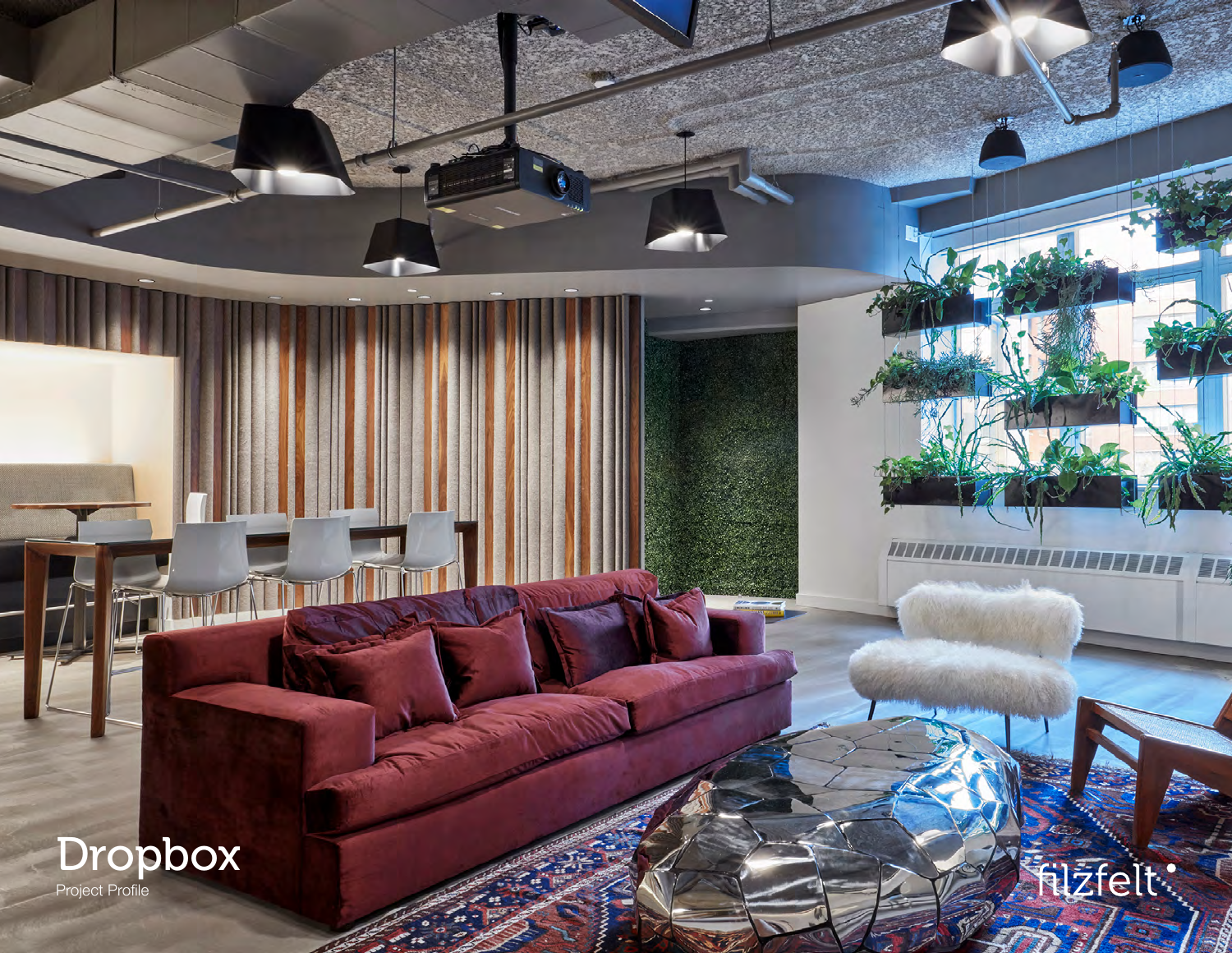

**filzfelt:** 

 $-\frac{1}{3}$